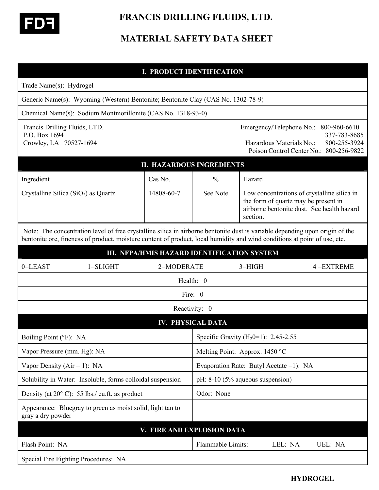

 **FRANCIS DRILLING FLUIDS, LTD.** 

# **MATERIAL SAFETY DATA SHEET**

| <b>I. PRODUCT IDENTIFICATION</b>                                                                                                                                                                                                                          |                                                                                  |                            |                                                  |                                                                                                 |                                                                                         |  |  |
|-----------------------------------------------------------------------------------------------------------------------------------------------------------------------------------------------------------------------------------------------------------|----------------------------------------------------------------------------------|----------------------------|--------------------------------------------------|-------------------------------------------------------------------------------------------------|-----------------------------------------------------------------------------------------|--|--|
| Trade Name(s): Hydrogel                                                                                                                                                                                                                                   |                                                                                  |                            |                                                  |                                                                                                 |                                                                                         |  |  |
|                                                                                                                                                                                                                                                           | Generic Name(s): Wyoming (Western) Bentonite; Bentonite Clay (CAS No. 1302-78-9) |                            |                                                  |                                                                                                 |                                                                                         |  |  |
| Chemical Name(s): Sodium Montmorillonite (CAS No. 1318-93-0)                                                                                                                                                                                              |                                                                                  |                            |                                                  |                                                                                                 |                                                                                         |  |  |
| Francis Drilling Fluids, LTD.<br>P.O. Box 1694<br>Crowley, LA 70527-1694                                                                                                                                                                                  |                                                                                  |                            |                                                  | Emergency/Telephone No.:<br>Hazardous Materials No.:                                            | 800-960-6610<br>337-783-8685<br>800-255-3924<br>Poison Control Center No.: 800-256-9822 |  |  |
| <b>II. HAZARDOUS INGREDIENTS</b>                                                                                                                                                                                                                          |                                                                                  |                            |                                                  |                                                                                                 |                                                                                         |  |  |
| Ingredient                                                                                                                                                                                                                                                |                                                                                  | Cas No.                    | $\frac{0}{0}$                                    | Hazard                                                                                          |                                                                                         |  |  |
| Crystalline Silica $(SiO2)$ as Quartz                                                                                                                                                                                                                     |                                                                                  | 14808-60-7                 | See Note                                         | Low concentrations of crystalline silica in<br>the form of quartz may be present in<br>section. | airborne bentonite dust. See health hazard                                              |  |  |
| Note: The concentration level of free crystalline silica in airborne bentonite dust is variable depending upon origin of the<br>bentonite ore, fineness of product, moisture content of product, local humidity and wind conditions at point of use, etc. |                                                                                  |                            |                                                  |                                                                                                 |                                                                                         |  |  |
| III. NFPA/HMIS HAZARD IDENTIFICATION SYSTEM                                                                                                                                                                                                               |                                                                                  |                            |                                                  |                                                                                                 |                                                                                         |  |  |
| 0=LEAST                                                                                                                                                                                                                                                   | $1 = SLIGHT$                                                                     | 2=MODERATE                 |                                                  | $3 = HIGH$                                                                                      | $4 = EXTREME$                                                                           |  |  |
| Health: 0                                                                                                                                                                                                                                                 |                                                                                  |                            |                                                  |                                                                                                 |                                                                                         |  |  |
|                                                                                                                                                                                                                                                           |                                                                                  |                            | Fire: 0                                          |                                                                                                 |                                                                                         |  |  |
|                                                                                                                                                                                                                                                           |                                                                                  |                            | Reactivity: 0                                    |                                                                                                 |                                                                                         |  |  |
| <b>IV. PHYSICAL DATA</b>                                                                                                                                                                                                                                  |                                                                                  |                            |                                                  |                                                                                                 |                                                                                         |  |  |
| Boiling Point (°F): NA                                                                                                                                                                                                                                    |                                                                                  |                            | Specific Gravity (H <sub>2</sub> 0=1): 2.45-2.55 |                                                                                                 |                                                                                         |  |  |
| Vapor Pressure (mm. Hg): NA                                                                                                                                                                                                                               |                                                                                  |                            | Melting Point: Approx. 1450 °C                   |                                                                                                 |                                                                                         |  |  |
| Vapor Density ( $Air = 1$ ): NA                                                                                                                                                                                                                           |                                                                                  |                            | Evaporation Rate: Butyl Acetate = 1): NA         |                                                                                                 |                                                                                         |  |  |
| Solubility in Water: Insoluble, forms colloidal suspension                                                                                                                                                                                                |                                                                                  |                            | pH: $8-10$ (5% aqueous suspension)               |                                                                                                 |                                                                                         |  |  |
| Density (at $20^{\circ}$ C): 55 lbs./ cu.ft. as product                                                                                                                                                                                                   |                                                                                  |                            | Odor: None                                       |                                                                                                 |                                                                                         |  |  |
| Appearance: Bluegray to green as moist solid, light tan to<br>gray a dry powder                                                                                                                                                                           |                                                                                  |                            |                                                  |                                                                                                 |                                                                                         |  |  |
|                                                                                                                                                                                                                                                           |                                                                                  | V. FIRE AND EXPLOSION DATA |                                                  |                                                                                                 |                                                                                         |  |  |
| Flash Point: NA                                                                                                                                                                                                                                           |                                                                                  |                            | Flammable Limits:                                | LEL: NA                                                                                         | UEL: NA                                                                                 |  |  |
|                                                                                                                                                                                                                                                           | Special Fire Fighting Procedures: NA                                             |                            |                                                  |                                                                                                 |                                                                                         |  |  |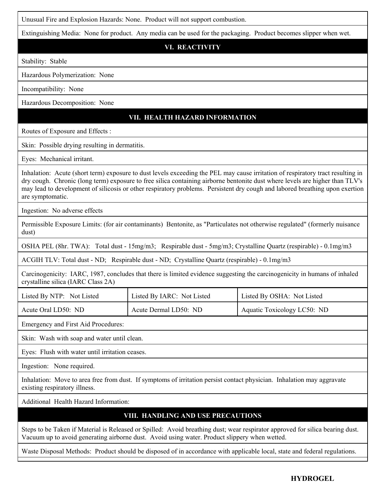Unusual Fire and Explosion Hazards: None. Product will not support combustion.

Extinguishing Media: None for product. Any media can be used for the packaging. Product becomes slipper when wet.

## **VI. REACTIVITY**

Stability: Stable

Hazardous Polymerization: None

Incompatibility: None

Hazardous Decomposition: None

# **VII. HEALTH HAZARD INFORMATION**

Routes of Exposure and Effects :

Skin: Possible drying resulting in dermatitis.

Eyes: Mechanical irritant.

Inhalation: Acute (short term) exposure to dust levels exceeding the PEL may cause irritation of respiratory tract resulting in dry cough. Chronic (long term) exposure to free silica containing airborne bentonite dust where levels are higher than TLV's may lead to development of silicosis or other respiratory problems. Persistent dry cough and labored breathing upon exertion are symptomatic.

Ingestion: No adverse effects

Permissible Exposure Limits: (for air contaminants) Bentonite, as "Particulates not otherwise regulated" (formerly nuisance dust)

OSHA PEL (8hr. TWA): Total dust - 15mg/m3; Respirable dust - 5mg/m3; Crystalline Quartz (respirable) - 0.1mg/m3

ACGIH TLV: Total dust - ND; Respirable dust - ND; Crystalline Quartz (respirable) - 0.1mg/m3

Carcinogenicity: IARC, 1987, concludes that there is limited evidence suggesting the carcinogenicity in humans of inhaled crystalline silica (IARC Class 2A)

| Listed By NTP: Not Listed | Listed By IARC: Not Listed | Listed By OSHA: Not Listed  |
|---------------------------|----------------------------|-----------------------------|
| Acute Oral LD50: ND       | Acute Dermal LD50: ND      | Aquatic Toxicology LC50: ND |

Emergency and First Aid Procedures:

Skin: Wash with soap and water until clean.

Eyes: Flush with water until irritation ceases.

Ingestion: None required.

Inhalation: Move to area free from dust. If symptoms of irritation persist contact physician. Inhalation may aggravate existing respiratory illness.

Additional Health Hazard Information:

## **VIII. HANDLING AND USE PRECAUTIONS**

Steps to be Taken if Material is Released or Spilled: Avoid breathing dust; wear respirator approved for silica bearing dust. Vacuum up to avoid generating airborne dust. Avoid using water. Product slippery when wetted.

Waste Disposal Methods: Product should be disposed of in accordance with applicable local, state and federal regulations.

#### **HYDROGEL**